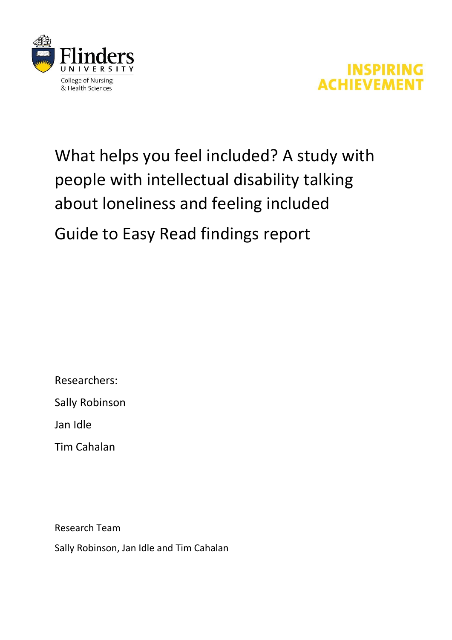



# What helps you feel included? A study with people with intellectual disability talking about loneliness and feeling included

# Guide to Easy Read findings report

Researchers:

Sally Robinson

Jan Idle

Tim Cahalan

Research Team

Sally Robinson, Jan Idle and Tim Cahalan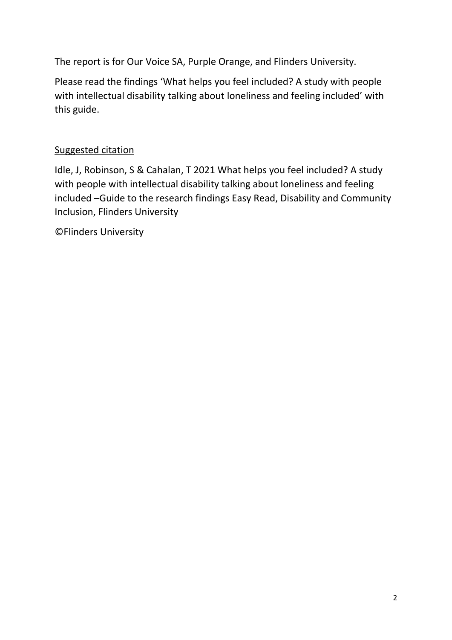The report is for Our Voice SA, Purple Orange, and Flinders University.

Please read the findings 'What helps you feel included? A study with people with intellectual disability talking about loneliness and feeling included' with this guide.

## Suggested citation

Idle, J, Robinson, S & Cahalan, T 2021 What helps you feel included? A study with people with intellectual disability talking about loneliness and feeling included –Guide to the research findings Easy Read, Disability and Community Inclusion, Flinders University

©Flinders University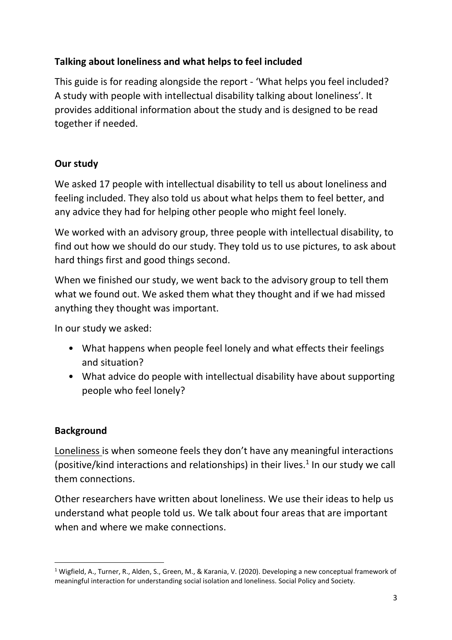# **Talking about loneliness and what helps to feel included**

This guide is for reading alongside the report - 'What helps you feel included? A study with people with intellectual disability talking about loneliness'. It provides additional information about the study and is designed to be read together if needed.

## **Our study**

We asked 17 people with intellectual disability to tell us about loneliness and feeling included. They also told us about what helps them to feel better, and any advice they had for helping other people who might feel lonely.

We worked with an advisory group, three people with intellectual disability, to find out how we should do our study. They told us to use pictures, to ask about hard things first and good things second.

When we finished our study, we went back to the advisory group to tell them what we found out. We asked them what they thought and if we had missed anything they thought was important.

In our study we asked:

- What happens when people feel lonely and what effects their feelings and situation?
- What advice do people with intellectual disability have about supporting people who feel lonely?

## **Background**

Loneliness is when someone feels they don't have any meaningful interactions (positive/kind interactions and relationships) in their lives. $1$  In our study we call them connections.

Other researchers have written about loneliness. We use their ideas to help us understand what people told us. We talk about four areas that are important when and where we make connections.

<sup>1</sup> Wigfield, A., Turner, R., Alden, S., Green, M., & Karania, V. (2020). Developing a new conceptual framework of meaningful interaction for understanding social isolation and loneliness. Social Policy and Society.